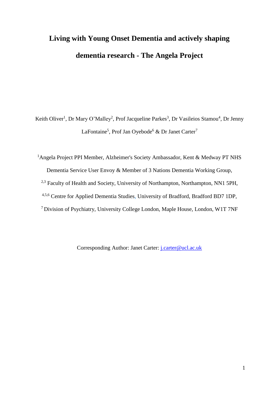# **Living with Young Onset Dementia and actively shaping dementia research - The Angela Project**

Keith Oliver<sup>1</sup>, Dr Mary O'Malley<sup>2</sup>, Prof Jacqueline Parkes<sup>3</sup>, Dr Vasileios Stamou<sup>4</sup>, Dr Jenny LaFontaine<sup>5</sup>, Prof Jan Oyebode<sup>6</sup> & Dr Janet Carter<sup>7</sup>

<sup>1</sup>Angela Project PPI Member, Alzheimer's Society Ambassador, Kent & Medway PT NHS Dementia Service User Envoy & Member of 3 Nations Dementia Working Group, <sup>2,3</sup> Faculty of Health and Society, University of Northampton, Northampton, NN1 5PH, 4,5,6 Centre for Applied Dementia Studies, University of Bradford, Bradford BD7 1DP, <sup>7</sup> Division of Psychiatry, University College London, Maple House, London, W1T 7NF

Corresponding Author: Janet Carter: *j.carter@ucl.ac.uk*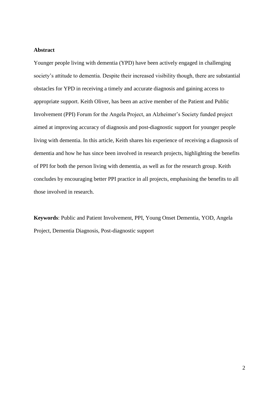# **Abstract**

Younger people living with dementia (YPD) have been actively engaged in challenging society's attitude to dementia. Despite their increased visibility though, there are substantial obstacles for YPD in receiving a timely and accurate diagnosis and gaining access to appropriate support. Keith Oliver, has been an active member of the Patient and Public Involvement (PPI) Forum for the Angela Project, an Alzheimer's Society funded project aimed at improving accuracy of diagnosis and post-diagnostic support for younger people living with dementia. In this article, Keith shares his experience of receiving a diagnosis of dementia and how he has since been involved in research projects, highlighting the benefits of PPI for both the person living with dementia, as well as for the research group. Keith concludes by encouraging better PPI practice in all projects, emphasising the benefits to all those involved in research.

**Keywords**: Public and Patient Involvement, PPI, Young Onset Dementia, YOD, Angela Project, Dementia Diagnosis, Post-diagnostic support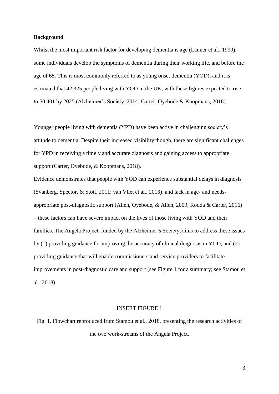## **Background**

Whilst the most important risk factor for developing dementia is age (Launer et al., 1999). some individuals develop the symptoms of dementia during their working life, and before the age of 65. This is most commonly referred to as young onset dementia (YOD), and it is estimated that 42,325 people living with YOD in the UK, with these figures expected to rise to 50,401 by 2025 (Alzheimer's Society, 2014; Carter, Oyebode & Koopmans, 2018).

Younger people living with dementia (YPD) have been active in challenging society's attitude to dementia. Despite their increased visibility though, there are significant challenges for YPD in receiving a timely and accurate diagnosis and gaining access to appropriate support (Carter, Oyebode, & Koopmans, 2018).

Evidence demonstrates that people with YOD can experience substantial delays in diagnosis (Svanberg, Spector, & Stott, 2011; van Vliet et al., 2013), and lack in age- and needsappropriate post-diagnostic support (Allen, Oyebode, & Allen, 2009; Rodda & Carter, 2016) – these factors can have severe impact on the lives of those living with YOD and their families. The Angela Project, funded by the Alzheimer's Society, aims to address these issues by (1) providing guidance for improving the accuracy of clinical diagnosis in YOD, and (2) providing guidance that will enable commissioners and service providers to facilitate improvements in post-diagnostic care and support (see Figure 1 for a summary; see Stamou et al., 2018).

## INSERT FIGURE 1

Fig. 1. Flowchart reproduced from Stamou et al., 2018, presenting the research activities of the two work-streams of the Angela Project.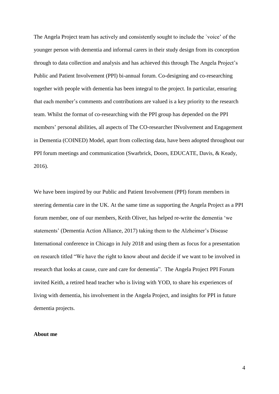The Angela Project team has actively and consistently sought to include the `voice' of the younger person with dementia and informal carers in their study design from its conception through to data collection and analysis and has achieved this through The Angela Project's Public and Patient Involvement (PPI) bi-annual forum. Co-designing and co-researching together with people with dementia has been integral to the project. In particular, ensuring that each member's comments and contributions are valued is a key priority to the research team. Whilst the format of co-researching with the PPI group has depended on the PPI members' personal abilities, all aspects of The CO-researcher INvolvement and Engagement in Dementia (COINED) Model, apart from collecting data, have been adopted throughout our PPI forum meetings and communication (Swarbrick, Doors, EDUCATE, Davis, & Keady, 2016).

We have been inspired by our Public and Patient Involvement (PPI) forum members in steering dementia care in the UK. At the same time as supporting the Angela Project as a PPI forum member, one of our members, Keith Oliver, has helped re-write the dementia 'we statements' (Dementia Action Alliance, 2017) taking them to the Alzheimer's Disease International conference in Chicago in July 2018 and using them as focus for a presentation on research titled "We have the right to know about and decide if we want to be involved in research that looks at cause, cure and care for dementia". The Angela Project PPI Forum invited Keith, a retired head teacher who is living with YOD, to share his experiences of living with dementia, his involvement in the Angela Project, and insights for PPI in future dementia projects.

## **About me**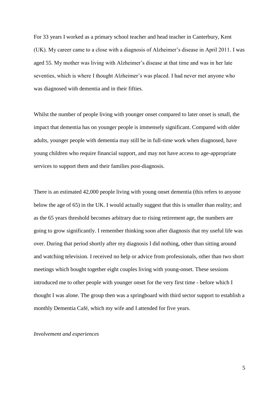For 33 years I worked as a primary school teacher and head teacher in Canterbury, Kent (UK). My career came to a close with a diagnosis of Alzheimer's disease in April 2011. I was aged 55. My mother was living with Alzheimer's disease at that time and was in her late seventies, which is where I thought Alzheimer's was placed. I had never met anyone who was diagnosed with dementia and in their fifties.

Whilst the number of people living with younger onset compared to later onset is small, the impact that dementia has on younger people is immensely significant. Compared with older adults, younger people with dementia may still be in full-time work when diagnosed, have young children who require financial support, and may not have access to age-appropriate services to support them and their families post-diagnosis.

There is an estimated 42,000 people living with young onset dementia (this refers to anyone below the age of 65) in the UK. I would actually suggest that this is smaller than reality; and as the 65 years threshold becomes arbitrary due to rising retirement age, the numbers are going to grow significantly. I remember thinking soon after diagnosis that my useful life was over. During that period shortly after my diagnosis I did nothing, other than sitting around and watching television. I received no help or advice from professionals, other than two short meetings which bought together eight couples living with young-onset. These sessions introduced me to other people with younger onset for the very first time - before which I thought I was alone. The group then was a springboard with third sector support to establish a monthly Dementia Café, which my wife and I attended for five years.

## *Involvement and experiences*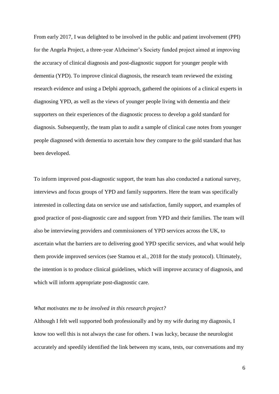From early 2017, I was delighted to be involved in the public and patient involvement (PPI) for the Angela Project, a three-year Alzheimer's Society funded project aimed at improving the accuracy of clinical diagnosis and post-diagnostic support for younger people with dementia (YPD). To improve clinical diagnosis, the research team reviewed the existing research evidence and using a Delphi approach, gathered the opinions of a clinical experts in diagnosing YPD, as well as the views of younger people living with dementia and their supporters on their experiences of the diagnostic process to develop a gold standard for diagnosis. Subsequently, the team plan to audit a sample of clinical case notes from younger people diagnosed with dementia to ascertain how they compare to the gold standard that has been developed.

To inform improved post-diagnostic support, the team has also conducted a national survey, interviews and focus groups of YPD and family supporters. Here the team was specifically interested in collecting data on service use and satisfaction, family support, and examples of good practice of post-diagnostic care and support from YPD and their families. The team will also be interviewing providers and commissioners of YPD services across the UK, to ascertain what the barriers are to delivering good YPD specific services, and what would help them provide improved services (see Stamou et al., 2018 for the study protocol). Ultimately, the intention is to produce clinical guidelines, which will improve accuracy of diagnosis, and which will inform appropriate post-diagnostic care.

## *What motivates me to be involved in this research project?*

Although I felt well supported both professionally and by my wife during my diagnosis, I know too well this is not always the case for others. I was lucky, because the neurologist accurately and speedily identified the link between my scans, tests, our conversations and my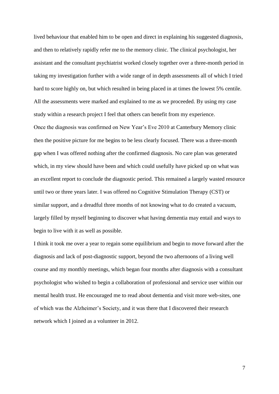lived behaviour that enabled him to be open and direct in explaining his suggested diagnosis, and then to relatively rapidly refer me to the memory clinic. The clinical psychologist, her assistant and the consultant psychiatrist worked closely together over a three-month period in taking my investigation further with a wide range of in depth assessments all of which I tried hard to score highly on, but which resulted in being placed in at times the lowest 5% centile. All the assessments were marked and explained to me as we proceeded. By using my case study within a research project I feel that others can benefit from my experience. Once the diagnosis was confirmed on New Year's Eve 2010 at Canterbury Memory clinic then the positive picture for me begins to be less clearly focused. There was a three-month gap when I was offered nothing after the confirmed diagnosis. No care plan was generated which, in my view should have been and which could usefully have picked up on what was an excellent report to conclude the diagnostic period. This remained a largely wasted resource until two or three years later. I was offered no Cognitive Stimulation Therapy (CST) or similar support, and a dreadful three months of not knowing what to do created a vacuum, largely filled by myself beginning to discover what having dementia may entail and ways to begin to live with it as well as possible.

I think it took me over a year to regain some equilibrium and begin to move forward after the diagnosis and lack of post-diagnostic support, beyond the two afternoons of a living well course and my monthly meetings, which began four months after diagnosis with a consultant psychologist who wished to begin a collaboration of professional and service user within our mental health trust. He encouraged me to read about dementia and visit more web-sites, one of which was the Alzheimer's Society, and it was there that I discovered their research network which I joined as a volunteer in 2012.

7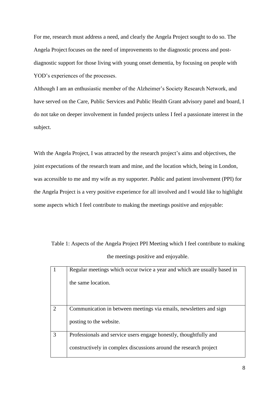For me, research must address a need, and clearly the Angela Project sought to do so. The Angela Project focuses on the need of improvements to the diagnostic process and postdiagnostic support for those living with young onset dementia, by focusing on people with YOD's experiences of the processes.

Although I am an enthusiastic member of the Alzheimer's Society Research Network, and have served on the Care, Public Services and Public Health Grant advisory panel and board, I do not take on deeper involvement in funded projects unless I feel a passionate interest in the subject.

With the Angela Project, I was attracted by the research project's aims and objectives, the joint expectations of the research team and mine, and the location which, being in London, was accessible to me and my wife as my supporter. Public and patient involvement (PPI) for the Angela Project is a very positive experience for all involved and I would like to highlight some aspects which I feel contribute to making the meetings positive and enjoyable:

Table 1: Aspects of the Angela Project PPI Meeting which I feel contribute to making the meetings positive and enjoyable.

|                | Regular meetings which occur twice a year and which are usually based in |
|----------------|--------------------------------------------------------------------------|
|                | the same location.                                                       |
|                |                                                                          |
|                |                                                                          |
| $\overline{2}$ | Communication in between meetings via emails, newsletters and sign       |
|                | posting to the website.                                                  |
| 3              | Professionals and service users engage honestly, thoughtfully and        |
|                | constructively in complex discussions around the research project        |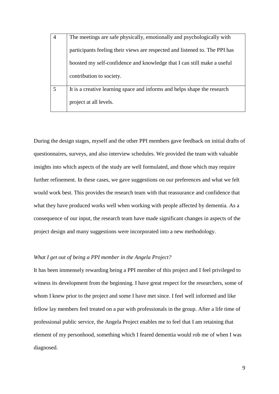| $\overline{4}$ | The meetings are safe physically, emotionally and psychologically with      |
|----------------|-----------------------------------------------------------------------------|
|                | participants feeling their views are respected and listened to. The PPI has |
|                | boosted my self-confidence and knowledge that I can still make a useful     |
|                | contribution to society.                                                    |
| 5              | It is a creative learning space and informs and helps shape the research    |
|                | project at all levels.                                                      |

During the design stages, myself and the other PPI members gave feedback on initial drafts of questionnaires, surveys, and also interview schedules. We provided the team with valuable insights into which aspects of the study are well formulated, and those which may require further refinement. In these cases, we gave suggestions on our preferences and what we felt would work best. This provides the research team with that reassurance and confidence that what they have produced works well when working with people affected by dementia. As a consequence of our input, the research team have made significant changes in aspects of the project design and many suggestions were incorporated into a new methodology.

# *What I get out of being a PPI member in the Angela Project?*

It has been immensely rewarding being a PPI member of this project and I feel privileged to witness its development from the beginning. I have great respect for the researchers, some of whom I knew prior to the project and some I have met since. I feel well informed and like fellow lay members feel treated on a par with professionals in the group. After a life time of professional public service, the Angela Project enables me to feel that I am retaining that element of my personhood, something which I feared dementia would rob me of when I was diagnosed.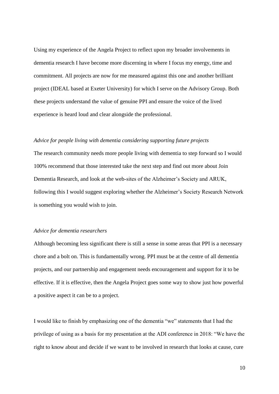Using my experience of the Angela Project to reflect upon my broader involvements in dementia research I have become more discerning in where I focus my energy, time and commitment. All projects are now for me measured against this one and another brilliant project (IDEAL based at Exeter University) for which I serve on the Advisory Group. Both these projects understand the value of genuine PPI and ensure the voice of the lived experience is heard loud and clear alongside the professional.

## *Advice for people living with dementia considering supporting future projects*

The research community needs more people living with dementia to step forward so I would 100% recommend that those interested take the next step and find out more about Join Dementia Research, and look at the web-sites of the Alzheimer's Society and ARUK, following this I would suggest exploring whether the Alzheimer's Society Research Network is something you would wish to join.

#### *Advice for dementia researchers*

Although becoming less significant there is still a sense in some areas that PPI is a necessary chore and a bolt on. This is fundamentally wrong. PPI must be at the centre of all dementia projects, and our partnership and engagement needs encouragement and support for it to be effective. If it is effective, then the Angela Project goes some way to show just how powerful a positive aspect it can be to a project.

I would like to finish by emphasizing one of the dementia "we" statements that I had the privilege of using as a basis for my presentation at the ADI conference in 2018: "We have the right to know about and decide if we want to be involved in research that looks at cause, cure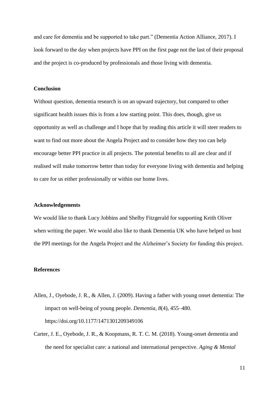and care for dementia and be supported to take part." (Dementia Action Alliance, 2017). I look forward to the day when projects have PPI on the first page not the last of their proposal and the project is co-produced by professionals and those living with dementia.

## **Conclusion**

Without question, dementia research is on an upward trajectory, but compared to other significant health issues this is from a low starting point. This does, though, give us opportunity as well as challenge and I hope that by reading this article it will steer readers to want to find out more about the Angela Project and to consider how they too can help encourage better PPI practice in all projects. The potential benefits to all are clear and if realised will make tomorrow better than today for everyone living with dementia and helping to care for us either professionally or within our home lives.

## **Acknowledgements**

We would like to thank Lucy Jobbins and Shelby Fitzgerald for supporting Keith Oliver when writing the paper. We would also like to thank Dementia UK who have helped us host the PPI meetings for the Angela Project and the Alzheimer's Society for funding this project.

# **References**

- Allen, J., Oyebode, J. R., & Allen, J. (2009). Having a father with young onset dementia: The impact on well-being of young people. *Dementia*, *8*(4), 455–480. https://doi.org/10.1177/1471301209349106
- Carter, J. E., Oyebode, J. R., & Koopmans, R. T. C. M. (2018). Young-onset dementia and the need for specialist care: a national and international perspective. *Aging & Mental*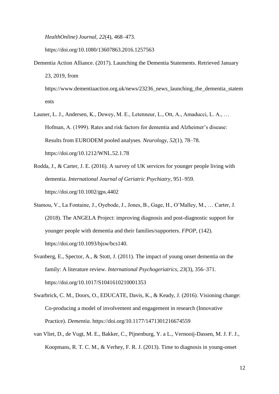*HealthOnline) Journal*, *22*(4), 468–473.

https://doi.org/10.1080/13607863.2016.1257563

Dementia Action Alliance. (2017). Launching the Dementia Statements. Retrieved January 23, 2019, from

https://www.dementiaaction.org.uk/news/23236\_news\_launching\_the\_dementia\_statem ents

- Launer, L. J., Andersen, K., Dewey, M. E., Letenneur, L., Ott, A., Amaducci, L. A., … Hofman, A. (1999). Rates and risk factors for dementia and Alzheimer's disease: Results from EURODEM pooled analyses. *Neurology*, *52*(1), 78–78. https://doi.org/10.1212/WNL.52.1.78
- Rodda, J., & Carter, J. E. (2016). A survey of UK services for younger people living with dementia. *International Journal of Geriatric Psychiatry*, 951–959. https://doi.org/10.1002/gps.4402
- Stamou, V., La Fontaine, J., Oyebode, J., Jones, B., Gage, H., O'Malley, M., … Carter, J. (2018). The ANGELA Project: improving diagnosis and post-diagnostic support for younger people with dementia and their families/supporters. *FPOP*, (142). https://doi.org/10.1093/bjsw/bcs140.
- Svanberg, E., Spector, A., & Stott, J. (2011). The impact of young onset dementia on the family: A literature review. *International Psychogeriatrics*, *23*(3), 356–371. https://doi.org/10.1017/S1041610210001353
- Swarbrick, C. M., Doors, O., EDUCATE, Davis, K., & Keady, J. (2016). Visioning change: Co-producing a model of involvement and engagement in research (Innovative Practice). *Dementia*. https://doi.org/10.1177/1471301216674559
- van Vliet, D., de Vugt, M. E., Bakker, C., Pijnenburg, Y. a L., Vernooij-Dassen, M. J. F. J., Koopmans, R. T. C. M., & Verhey, F. R. J. (2013). Time to diagnosis in young-onset